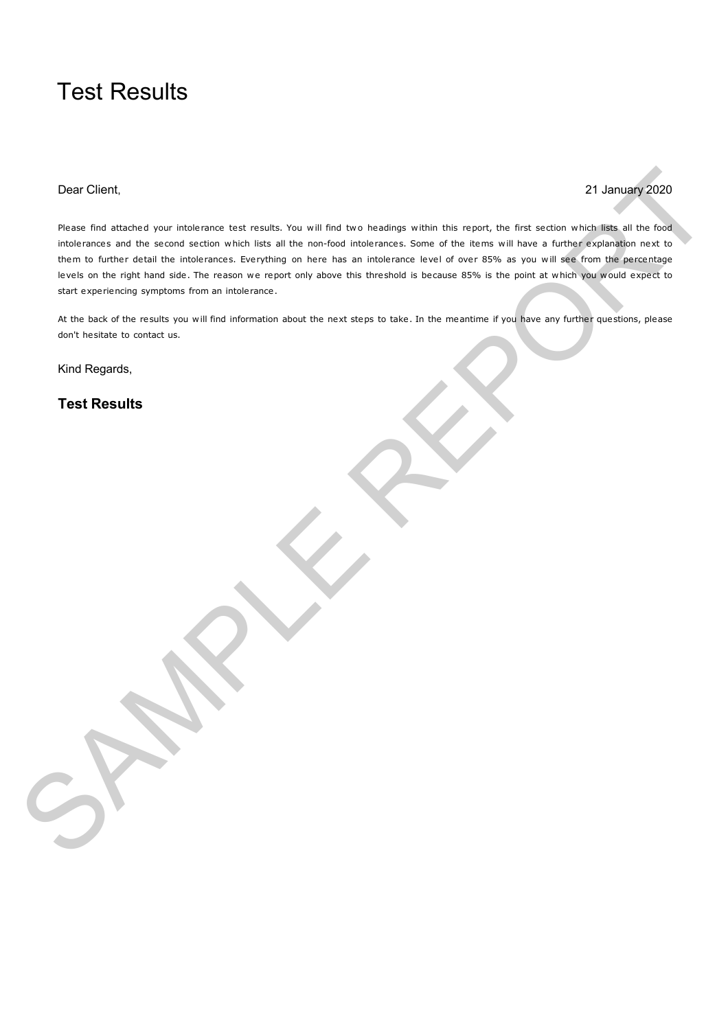# Test Results

## Dear Client, 21 January 2020

Please find attached your intolerance test results. You will find two headings within this report, the first section which lists all the food intolerances and the second section which lists all the non-food intolerances. Some of the items will have a further explanation next to them to further detail the intolerances. Everything on here has an intolerance level of over 85% as you will see from the percentage levels on the right hand side. The reason we report only above this threshold is because 85% is the point at which you would expect to start experiencing symptoms from an intolerance. Des Client,<br>
Marie for client pay and marie lead with line at limit to metry which in a payr, the real accounts when the transit<br>
this case and the case and the limit at the walk limit of the set will be a three man one of

At the back of the results you will find information about the next steps to take. In the meantime if you have any further questions, please don't hesitate to contact us.

Kind Regards,

**Test Results**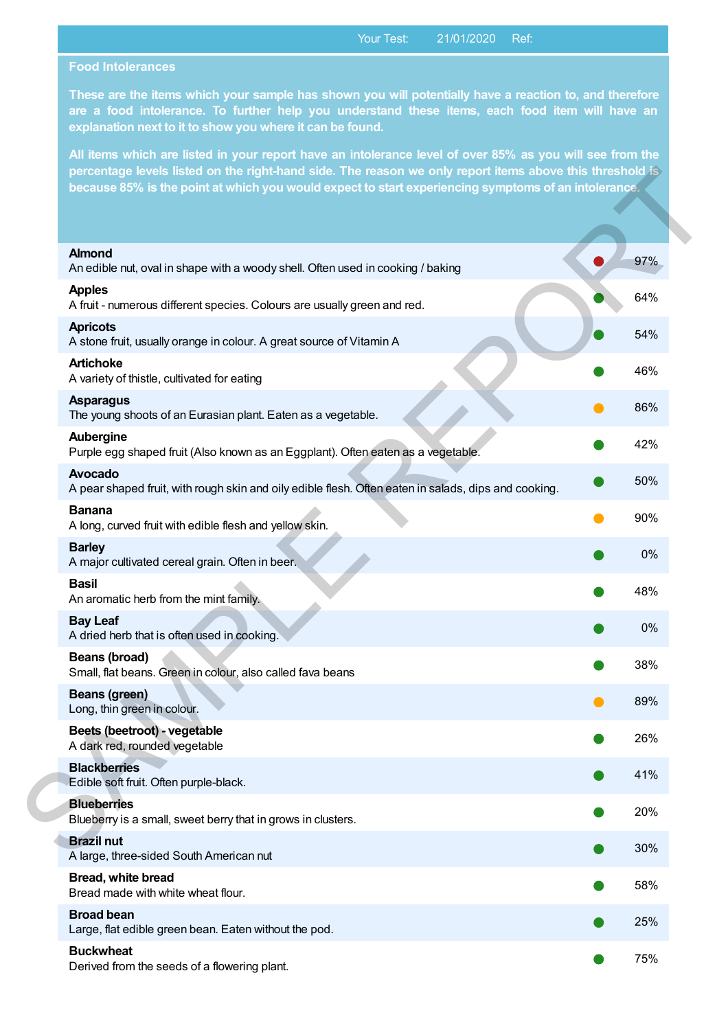## **Food Intolerances**

**These are the items which your sample has shown you will potentially have a reaction to, and therefore are a food intolerance. To further help you understand these items, each food item will have an explanation next to it to show you where it can be found.**

**All items which are listed in your report have an intolerance level of over 85% as you will see from the percentage levels listed on the right-hand side. The reason we only report items above this threshold is because 85% is the point at which you would expect to start experiencing symptoms of an intolerance.**

| <b>Almond</b><br>An edible nut, oval in shape with a woody shell. Often used in cooking / baking                       | 97% |
|------------------------------------------------------------------------------------------------------------------------|-----|
| <b>Apples</b><br>A fruit - numerous different species. Colours are usually green and red.                              | 64% |
| <b>Apricots</b><br>A stone fruit, usually orange in colour. A great source of Vitamin A                                | 54% |
| <b>Artichoke</b><br>A variety of thistle, cultivated for eating                                                        | 46% |
| <b>Asparagus</b><br>The young shoots of an Eurasian plant. Eaten as a vegetable.                                       | 86% |
| Aubergine<br>Purple egg shaped fruit (Also known as an Eggplant). Often eaten as a vegetable.                          | 42% |
| <b>Avocado</b><br>A pear shaped fruit, with rough skin and oily edible flesh. Often eaten in salads, dips and cooking. | 50% |
| <b>Banana</b><br>A long, curved fruit with edible flesh and yellow skin.                                               | 90% |
| <b>Barley</b><br>A major cultivated cereal grain. Often in beer.                                                       | 0%  |
| <b>Basil</b><br>An aromatic herb from the mint family.                                                                 | 48% |
| <b>Bay Leaf</b><br>A dried herb that is often used in cooking.                                                         | 0%  |
| Beans (broad)<br>Small, flat beans. Green in colour, also called fava beans                                            | 38% |
| <b>Beans (green)</b><br>Long, thin green in colour.                                                                    | 89% |
| Beets (beetroot) - vegetable<br>A dark red, rounded vegetable                                                          | 26% |
| <b>Blackberries</b><br>Edible soft fruit. Often purple-black.                                                          | 41% |
| <b>Blueberries</b><br>Blueberry is a small, sweet berry that in grows in clusters.                                     | 20% |
| <b>Brazil nut</b><br>A large, three-sided South American nut                                                           | 30% |
| Bread, white bread<br>Bread made with white wheat flour.                                                               | 58% |
| <b>Broad bean</b><br>Large, flat edible green bean. Eaten without the pod.                                             | 25% |
| <b>Buckwheat</b><br>Derived from the seeds of a flowering plant.                                                       | 75% |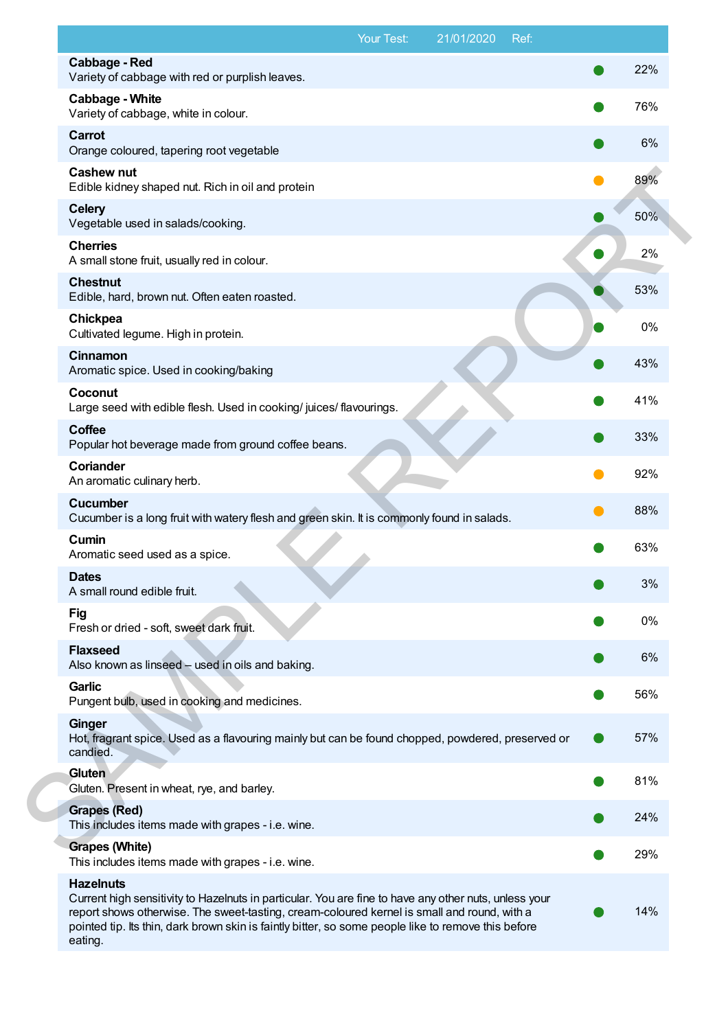|                                                                                                                                                                                                                                                                                                                                            | Your Test: | 21/01/2020 | Ref: |     |
|--------------------------------------------------------------------------------------------------------------------------------------------------------------------------------------------------------------------------------------------------------------------------------------------------------------------------------------------|------------|------------|------|-----|
| <b>Cabbage - Red</b><br>Variety of cabbage with red or purplish leaves.                                                                                                                                                                                                                                                                    |            |            |      | 22% |
| <b>Cabbage - White</b><br>Variety of cabbage, white in colour.                                                                                                                                                                                                                                                                             |            |            |      | 76% |
| <b>Carrot</b><br>Orange coloured, tapering root vegetable                                                                                                                                                                                                                                                                                  |            |            |      | 6%  |
| <b>Cashew nut</b><br>Edible kidney shaped nut. Rich in oil and protein                                                                                                                                                                                                                                                                     |            |            |      | 89% |
| <b>Celery</b><br>Vegetable used in salads/cooking.                                                                                                                                                                                                                                                                                         |            |            |      | 50% |
| <b>Cherries</b><br>A small stone fruit, usually red in colour.                                                                                                                                                                                                                                                                             |            |            |      | 2%  |
| <b>Chestnut</b><br>Edible, hard, brown nut. Often eaten roasted.                                                                                                                                                                                                                                                                           |            |            |      | 53% |
| Chickpea<br>Cultivated legume. High in protein.                                                                                                                                                                                                                                                                                            |            |            |      | 0%  |
| Cinnamon<br>Aromatic spice. Used in cooking/baking                                                                                                                                                                                                                                                                                         |            |            |      | 43% |
| Coconut<br>Large seed with edible flesh. Used in cooking/ juices/ flavourings.                                                                                                                                                                                                                                                             |            |            |      | 41% |
| <b>Coffee</b><br>Popular hot beverage made from ground coffee beans.                                                                                                                                                                                                                                                                       |            |            |      | 33% |
| <b>Coriander</b><br>An aromatic culinary herb.                                                                                                                                                                                                                                                                                             |            |            |      | 92% |
| <b>Cucumber</b><br>Cucumber is a long fruit with watery flesh and green skin. It is commonly found in salads.                                                                                                                                                                                                                              |            |            |      | 88% |
| Cumin<br>Aromatic seed used as a spice.                                                                                                                                                                                                                                                                                                    |            |            |      | 63% |
| <b>Dates</b><br>A small round edible fruit.                                                                                                                                                                                                                                                                                                |            |            |      | 3%  |
| <b>Fig</b><br>Fresh or dried - soft, sweet dark fruit.                                                                                                                                                                                                                                                                                     |            |            |      | 0%  |
| <b>Flaxseed</b><br>Also known as linseed - used in oils and baking.                                                                                                                                                                                                                                                                        |            |            |      | 6%  |
| <b>Garlic</b><br>Pungent bulb, used in cooking and medicines.                                                                                                                                                                                                                                                                              |            |            |      | 56% |
| Ginger<br>Hot, fragrant spice. Used as a flavouring mainly but can be found chopped, powdered, preserved or<br>candied.                                                                                                                                                                                                                    |            |            |      | 57% |
| Gluten<br>Gluten. Present in wheat, rye, and barley.                                                                                                                                                                                                                                                                                       |            |            |      | 81% |
| <b>Grapes (Red)</b><br>This includes items made with grapes - i.e. wine.                                                                                                                                                                                                                                                                   |            |            |      | 24% |
| <b>Grapes (White)</b><br>This includes items made with grapes - i.e. wine.                                                                                                                                                                                                                                                                 |            |            |      | 29% |
| <b>Hazelnuts</b><br>Current high sensitivity to Hazelnuts in particular. You are fine to have any other nuts, unless your<br>report shows otherwise. The sweet-tasting, cream-coloured kernel is small and round, with a<br>pointed tip. Its thin, dark brown skin is faintly bitter, so some people like to remove this before<br>eating. |            |            |      | 14% |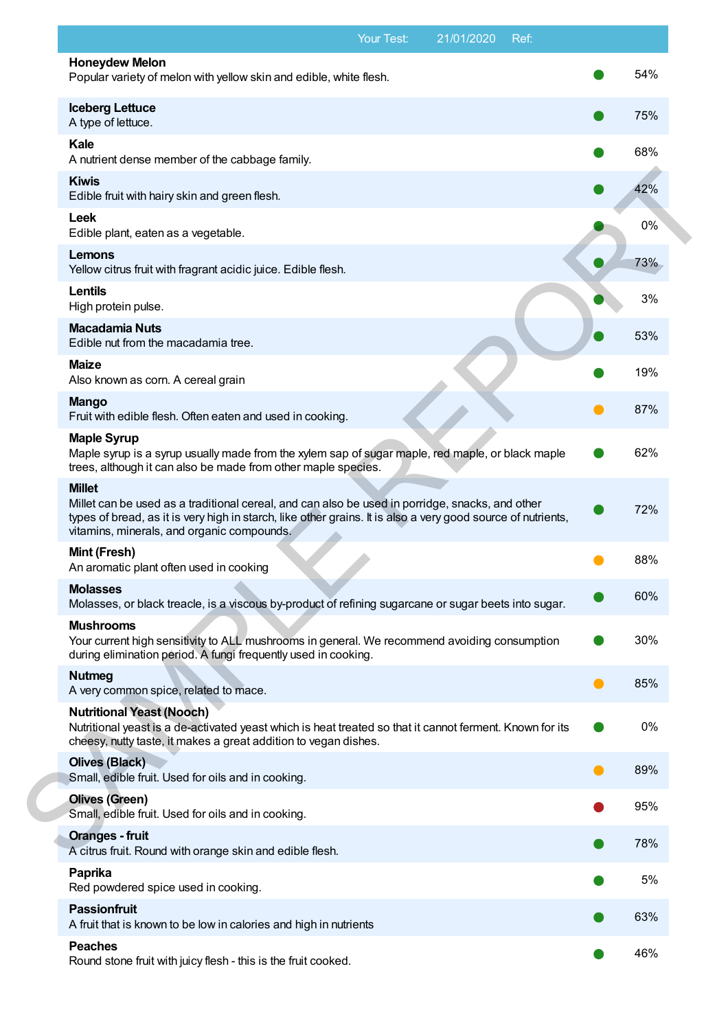|                                                                                                                                                                                                                                                                                | Your Test: | 21/01/2020 | Ref: |     |
|--------------------------------------------------------------------------------------------------------------------------------------------------------------------------------------------------------------------------------------------------------------------------------|------------|------------|------|-----|
| <b>Honeydew Melon</b><br>Popular variety of melon with yellow skin and edible, white flesh.                                                                                                                                                                                    |            |            |      | 54% |
| <b>Iceberg Lettuce</b><br>A type of lettuce.                                                                                                                                                                                                                                   |            |            |      | 75% |
| Kale<br>A nutrient dense member of the cabbage family.                                                                                                                                                                                                                         |            |            |      | 68% |
| <b>Kiwis</b><br>Edible fruit with hairy skin and green flesh.                                                                                                                                                                                                                  |            |            |      | 42% |
| Leek<br>Edible plant, eaten as a vegetable.                                                                                                                                                                                                                                    |            |            |      | 0%  |
| <b>Lemons</b><br>Yellow citrus fruit with fragrant acidic juice. Edible flesh.                                                                                                                                                                                                 |            |            |      | 73% |
| Lentils<br>High protein pulse.                                                                                                                                                                                                                                                 |            |            |      | 3%  |
| <b>Macadamia Nuts</b><br>Edible nut from the macadamia tree.                                                                                                                                                                                                                   |            |            |      | 53% |
| <b>Maize</b><br>Also known as corn. A cereal grain                                                                                                                                                                                                                             |            |            |      | 19% |
| <b>Mango</b><br>Fruit with edible flesh. Often eaten and used in cooking.                                                                                                                                                                                                      |            |            |      | 87% |
| <b>Maple Syrup</b><br>Maple syrup is a syrup usually made from the xylem sap of sugar maple, red maple, or black maple<br>trees, although it can also be made from other maple species.                                                                                        |            |            |      | 62% |
| <b>Millet</b><br>Millet can be used as a traditional cereal, and can also be used in porridge, snacks, and other<br>types of bread, as it is very high in starch, like other grains. It is also a very good source of nutrients,<br>vitamins, minerals, and organic compounds. |            |            |      | 72% |
| Mint (Fresh)<br>An aromatic plant often used in cooking                                                                                                                                                                                                                        |            |            |      | 88% |
| <b>Molasses</b><br>Molasses, or black treacle, is a viscous by-product of refining sugarcane or sugar beets into sugar.                                                                                                                                                        |            |            |      | 60% |
| <b>Mushrooms</b><br>Your current high sensitivity to ALL mushrooms in general. We recommend avoiding consumption<br>during elimination period. A fungi frequently used in cooking.                                                                                             |            |            |      | 30% |
| <b>Nutmeg</b><br>A very common spice, related to mace.                                                                                                                                                                                                                         |            |            |      | 85% |
| <b>Nutritional Yeast (Nooch)</b><br>Nutritional yeast is a de-activated yeast which is heat treated so that it cannot ferment. Known for its<br>cheesy, nutty taste, it makes a great addition to vegan dishes.                                                                |            |            |      | 0%  |
| <b>Olives (Black)</b><br>Small, edible fruit. Used for oils and in cooking.                                                                                                                                                                                                    |            |            |      | 89% |
| <b>Olives (Green)</b><br>Small, edible fruit. Used for oils and in cooking.                                                                                                                                                                                                    |            |            |      | 95% |
| <b>Oranges - fruit</b><br>A citrus fruit. Round with orange skin and edible flesh.                                                                                                                                                                                             |            |            |      | 78% |
| Paprika<br>Red powdered spice used in cooking.                                                                                                                                                                                                                                 |            |            |      | 5%  |
| <b>Passionfruit</b><br>A fruit that is known to be low in calories and high in nutrients                                                                                                                                                                                       |            |            |      | 63% |
| <b>Peaches</b><br>Round stone fruit with juicy flesh - this is the fruit cooked.                                                                                                                                                                                               |            |            |      | 46% |
|                                                                                                                                                                                                                                                                                |            |            |      |     |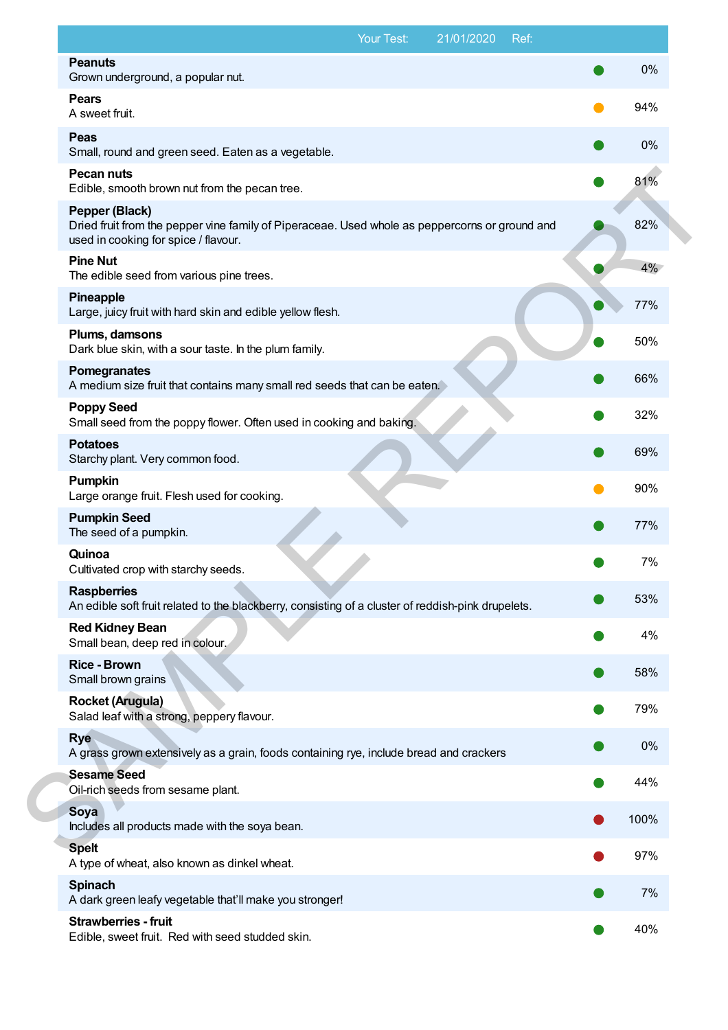|                                                                                                                                                          | Your Test: | 21/01/2020 | Ref: |      |
|----------------------------------------------------------------------------------------------------------------------------------------------------------|------------|------------|------|------|
| <b>Peanuts</b><br>Grown underground, a popular nut.                                                                                                      |            |            |      | 0%   |
| <b>Pears</b><br>A sweet fruit.                                                                                                                           |            |            |      | 94%  |
| <b>Peas</b><br>Small, round and green seed. Eaten as a vegetable.                                                                                        |            |            |      | 0%   |
| <b>Pecan nuts</b><br>Edible, smooth brown nut from the pecan tree.                                                                                       |            |            |      | 81%  |
| Pepper (Black)<br>Dried fruit from the pepper vine family of Piperaceae. Used whole as peppercorns or ground and<br>used in cooking for spice / flavour. |            |            |      | 82%  |
| <b>Pine Nut</b><br>The edible seed from various pine trees.                                                                                              |            |            |      | 4%   |
| Pineapple<br>Large, juicy fruit with hard skin and edible yellow flesh.                                                                                  |            |            |      | 77%  |
| Plums, damsons<br>Dark blue skin, with a sour taste. In the plum family.                                                                                 |            |            |      | 50%  |
| Pomegranates<br>A medium size fruit that contains many small red seeds that can be eaten.                                                                |            |            |      | 66%  |
| <b>Poppy Seed</b><br>Small seed from the poppy flower. Often used in cooking and baking.                                                                 |            |            |      | 32%  |
| <b>Potatoes</b><br>Starchy plant. Very common food.                                                                                                      |            |            |      | 69%  |
| <b>Pumpkin</b><br>Large orange fruit. Flesh used for cooking.                                                                                            |            |            |      | 90%  |
| <b>Pumpkin Seed</b><br>The seed of a pumpkin.                                                                                                            |            |            |      | 77%  |
| Quinoa<br>Cultivated crop with starchy seeds.                                                                                                            |            |            |      | 7%   |
| <b>Raspberries</b><br>An edible soft fruit related to the blackberry, consisting of a cluster of reddish-pink drupelets.                                 |            |            |      | 53%  |
| <b>Red Kidney Bean</b><br>Small bean, deep red in colour.                                                                                                |            |            |      | 4%   |
| <b>Rice - Brown</b><br>Small brown grains                                                                                                                |            |            |      | 58%  |
| <b>Rocket (Arugula)</b><br>Salad leaf with a strong, peppery flavour.                                                                                    |            |            |      | 79%  |
| <b>Rye</b><br>A grass grown extensively as a grain, foods containing rye, include bread and crackers                                                     |            |            |      | 0%   |
| <b>Sesame Seed</b><br>Oil-rich seeds from sesame plant.                                                                                                  |            |            |      | 44%  |
| Soya<br>Includes all products made with the soya bean.                                                                                                   |            |            |      | 100% |
| <b>Spelt</b><br>A type of wheat, also known as dinkel wheat.                                                                                             |            |            |      | 97%  |
| <b>Spinach</b><br>A dark green leafy vegetable that'll make you stronger!                                                                                |            |            |      | 7%   |
| <b>Strawberries - fruit</b><br>Edible, sweet fruit. Red with seed studded skin.                                                                          |            |            |      | 40%  |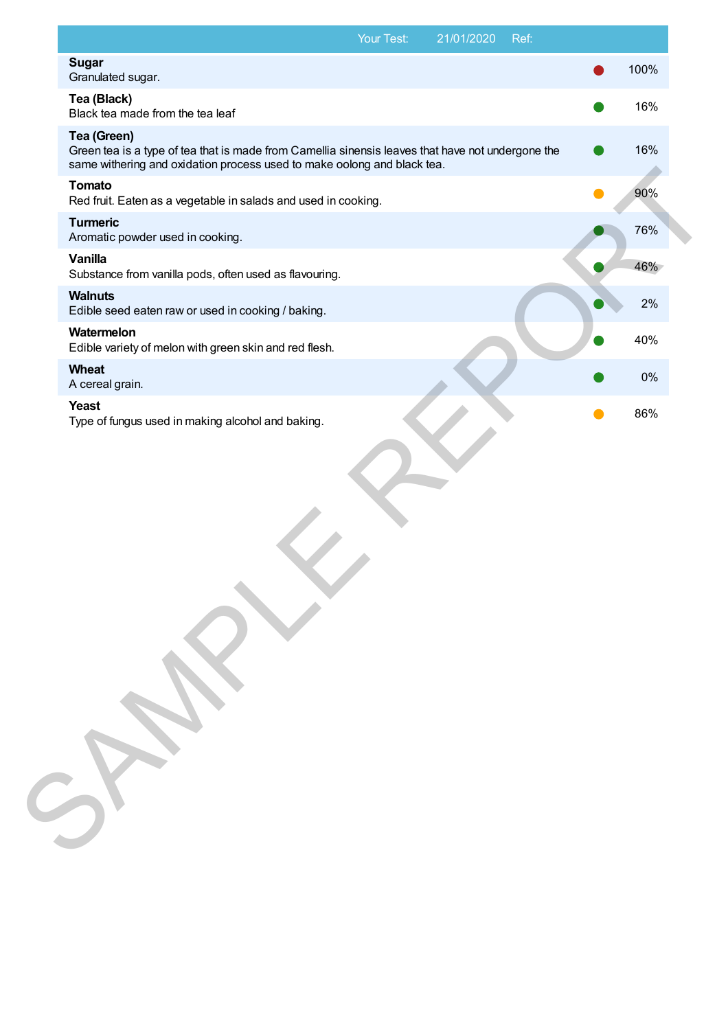| <b>Sugar</b><br>Granulated sugar.<br>Tea (Black)<br>Black tea made from the tea leaf<br>Tea (Green)<br>Green tea is a type of tea that is made from Camellia sinensis leaves that have not undergone the<br>same withering and oxidation process used to make oolong and black tea.<br><b>Tomato</b><br>90%<br>Red fruit. Eaten as a vegetable in salads and used in cooking.<br><b>Turmeric</b><br>76%<br>Aromatic powder used in cooking.<br><b>Vanilla</b><br>Substance from vanilla pods, often used as flavouring.<br><b>Walnuts</b><br>2%<br>Edible seed eaten raw or used in cooking / baking.<br>Watermelon<br>Edible variety of melon with green skin and red flesh.<br>Wheat<br>Yeast<br>86%<br>Type of fungus used in making alcohol and baking. |  | 21/01/2020 | Ref: |      |
|-------------------------------------------------------------------------------------------------------------------------------------------------------------------------------------------------------------------------------------------------------------------------------------------------------------------------------------------------------------------------------------------------------------------------------------------------------------------------------------------------------------------------------------------------------------------------------------------------------------------------------------------------------------------------------------------------------------------------------------------------------------|--|------------|------|------|
| 16%<br>16%<br>40%<br>$0\%$<br>A cereal grain.                                                                                                                                                                                                                                                                                                                                                                                                                                                                                                                                                                                                                                                                                                               |  |            |      | 100% |
| 46%                                                                                                                                                                                                                                                                                                                                                                                                                                                                                                                                                                                                                                                                                                                                                         |  |            |      |      |
|                                                                                                                                                                                                                                                                                                                                                                                                                                                                                                                                                                                                                                                                                                                                                             |  |            |      |      |
|                                                                                                                                                                                                                                                                                                                                                                                                                                                                                                                                                                                                                                                                                                                                                             |  |            |      |      |
|                                                                                                                                                                                                                                                                                                                                                                                                                                                                                                                                                                                                                                                                                                                                                             |  |            |      |      |
|                                                                                                                                                                                                                                                                                                                                                                                                                                                                                                                                                                                                                                                                                                                                                             |  |            |      |      |
|                                                                                                                                                                                                                                                                                                                                                                                                                                                                                                                                                                                                                                                                                                                                                             |  |            |      |      |
|                                                                                                                                                                                                                                                                                                                                                                                                                                                                                                                                                                                                                                                                                                                                                             |  |            |      |      |
|                                                                                                                                                                                                                                                                                                                                                                                                                                                                                                                                                                                                                                                                                                                                                             |  |            |      |      |
|                                                                                                                                                                                                                                                                                                                                                                                                                                                                                                                                                                                                                                                                                                                                                             |  |            |      |      |